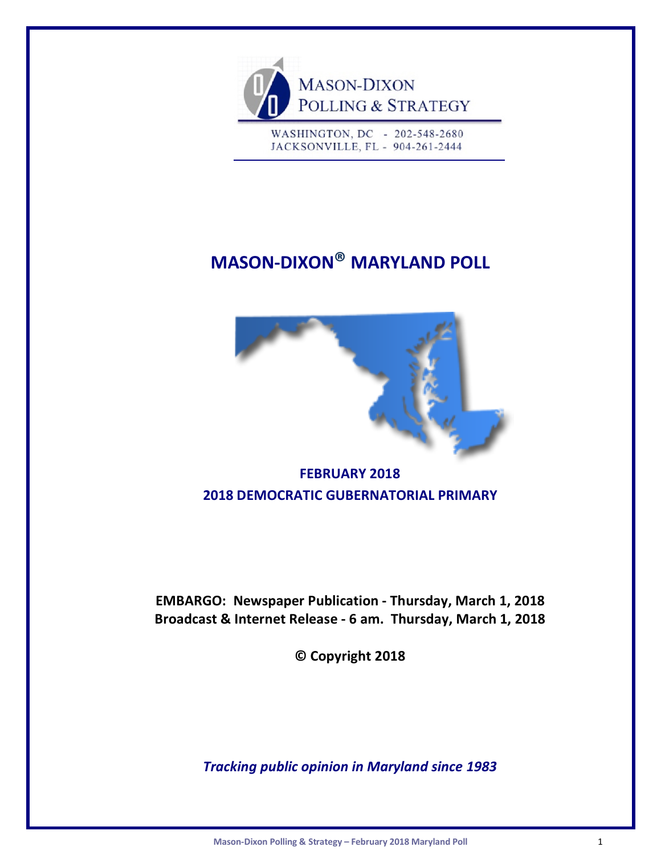

WASHINGTON, DC - 202-548-2680 JACKSONVILLE, FL - 904-261-2444

# **MASON-DIXON® MARYLAND POLL**



# **FEBRUARY 2018 2018 DEMOCRATIC GUBERNATORIAL PRIMARY**

**EMBARGO: Newspaper Publication - Thursday, March 1, 2018 Broadcast & Internet Release - 6 am. Thursday, March 1, 2018**

**© Copyright 2018**

*Tracking public opinion in Maryland since 1983*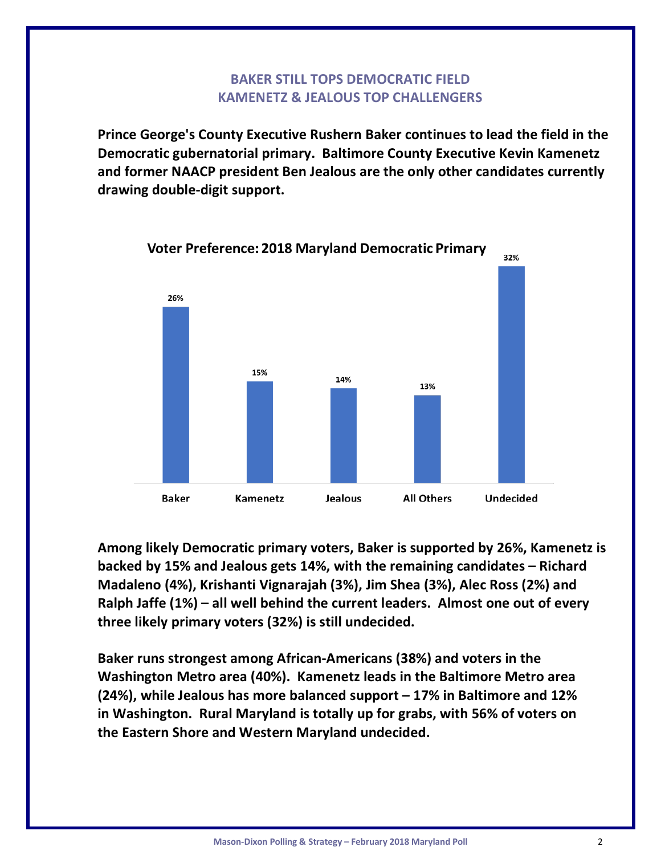# **BAKER STILL TOPS DEMOCRATIC FIELD KAMENETZ & JEALOUS TOP CHALLENGERS**

**Prince George's County Executive Rushern Baker continues to lead the field in the Democratic gubernatorial primary. Baltimore County Executive Kevin Kamenetz and former NAACP president Ben Jealous are the only other candidates currently drawing double-digit support.**



**Voter Preference: 2018 Maryland Democratic Primary** 

**Among likely Democratic primary voters, Baker is supported by 26%, Kamenetz is backed by 15% and Jealous gets 14%, with the remaining candidates – Richard Madaleno (4%), Krishanti Vignarajah (3%), Jim Shea (3%), Alec Ross (2%) and Ralph Jaffe (1%) – all well behind the current leaders. Almost one out of every three likely primary voters (32%) is still undecided.**

**Baker runs strongest among African-Americans (38%) and voters in the Washington Metro area (40%). Kamenetz leads in the Baltimore Metro area (24%), while Jealous has more balanced support – 17% in Baltimore and 12% in Washington. Rural Maryland is totally up for grabs, with 56% of voters on the Eastern Shore and Western Maryland undecided.**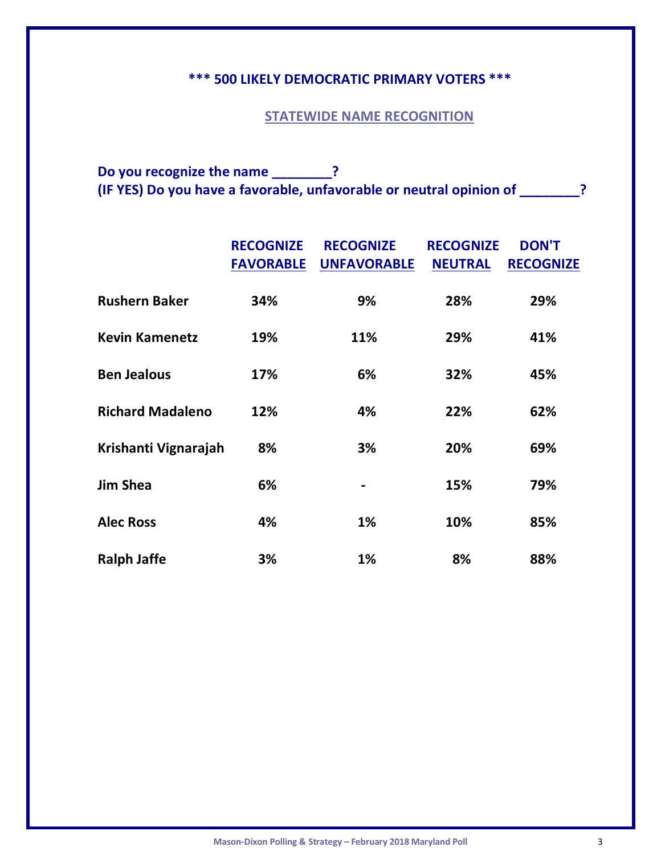# **\*\*\* 500 LIKELY DEMOCRATIC PRIMARY VOTERS \*\*\***

### **STATEWIDE NAME RECOGNITION**

**Do you recognize the name \_\_\_\_\_\_\_\_? (IF YES) Do you have a favorable, unfavorable or neutral opinion of \_\_\_\_\_\_\_\_?**

|                         | <b>RECOGNIZE</b><br><b>FAVORABLE</b> | <b>RECOGNIZE</b><br><b>UNFAVORABLE</b> | <b>RECOGNIZE</b><br><b>NEUTRAL</b> | <b>DON'T</b><br><b>RECOGNIZE</b> |
|-------------------------|--------------------------------------|----------------------------------------|------------------------------------|----------------------------------|
| <b>Rushern Baker</b>    | 34%                                  | 9%                                     | 28%                                | 29%                              |
| <b>Kevin Kamenetz</b>   | 19%                                  | 11%                                    | 29%                                | 41%                              |
| <b>Ben Jealous</b>      | 17%                                  | 6%                                     | 32%                                | 45%                              |
| <b>Richard Madaleno</b> | 12%                                  | 4%                                     | 22%                                | 62%                              |
| Krishanti Vignarajah    | 8%                                   | 3%                                     | 20%                                | 69%                              |
| <b>Jim Shea</b>         | 6%                                   |                                        | 15%                                | 79%                              |
| <b>Alec Ross</b>        | 4%                                   | 1%                                     | 10%                                | 85%                              |
| <b>Ralph Jaffe</b>      | 3%                                   | <b>1%</b>                              | 8%                                 | 88%                              |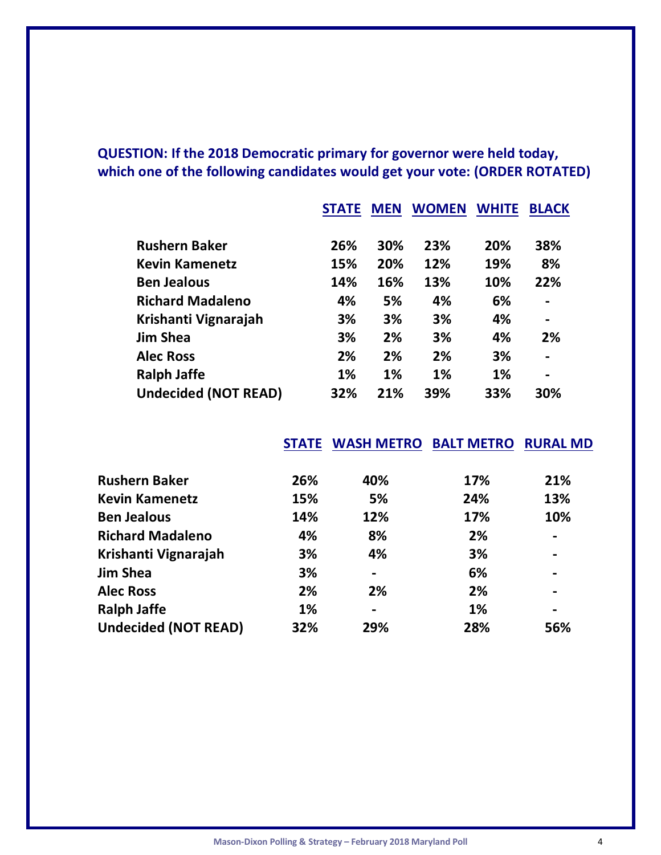# **QUESTION: If the 2018 Democratic primary for governor were held today, which one of the following candidates would get your vote: (ORDER ROTATED)**

|                             | <b>STATE</b> | <b>MEN</b> | <b>WOMEN</b> | <b>WHITE</b> | <b>BLACK</b>   |
|-----------------------------|--------------|------------|--------------|--------------|----------------|
|                             |              |            |              |              |                |
| <b>Rushern Baker</b>        | 26%          | 30%        | 23%          | 20%          | 38%            |
| <b>Kevin Kamenetz</b>       | 15%          | 20%        | 12%          | 19%          | 8%             |
| <b>Ben Jealous</b>          | 14%          | 16%        | 13%          | 10%          | 22%            |
| <b>Richard Madaleno</b>     | 4%           | 5%         | 4%           | 6%           | $\blacksquare$ |
| Krishanti Vignarajah        | 3%           | 3%         | 3%           | 4%           | $\blacksquare$ |
| <b>Jim Shea</b>             | 3%           | 2%         | 3%           | 4%           | 2%             |
| <b>Alec Ross</b>            | 2%           | 2%         | 2%           | 3%           |                |
| <b>Ralph Jaffe</b>          | 1%           | 1%         | 1%           | 1%           | $\blacksquare$ |
| <b>Undecided (NOT READ)</b> | 32%          | 21%        | 39%          | 33%          | 30%            |

 **STATE WASH METRO BALT METRO RURAL MD**

| <b>Rushern Baker</b>        | 26% | 40%            | 17% | 21%                          |
|-----------------------------|-----|----------------|-----|------------------------------|
| <b>Kevin Kamenetz</b>       | 15% | 5%             | 24% | 13%                          |
| <b>Ben Jealous</b>          | 14% | 12%            | 17% | 10%                          |
| <b>Richard Madaleno</b>     | 4%  | 8%             | 2%  | $\blacksquare$               |
| Krishanti Vignarajah        | 3%  | 4%             | 3%  | $\overline{\phantom{0}}$     |
| <b>Jim Shea</b>             | 3%  |                | 6%  | $\qquad \qquad \blacksquare$ |
| <b>Alec Ross</b>            | 2%  | 2%             | 2%  | $\overline{\phantom{0}}$     |
| <b>Ralph Jaffe</b>          | 1%  | $\blacksquare$ | 1%  | $\blacksquare$               |
| <b>Undecided (NOT READ)</b> | 32% | 29%            | 28% | 56%                          |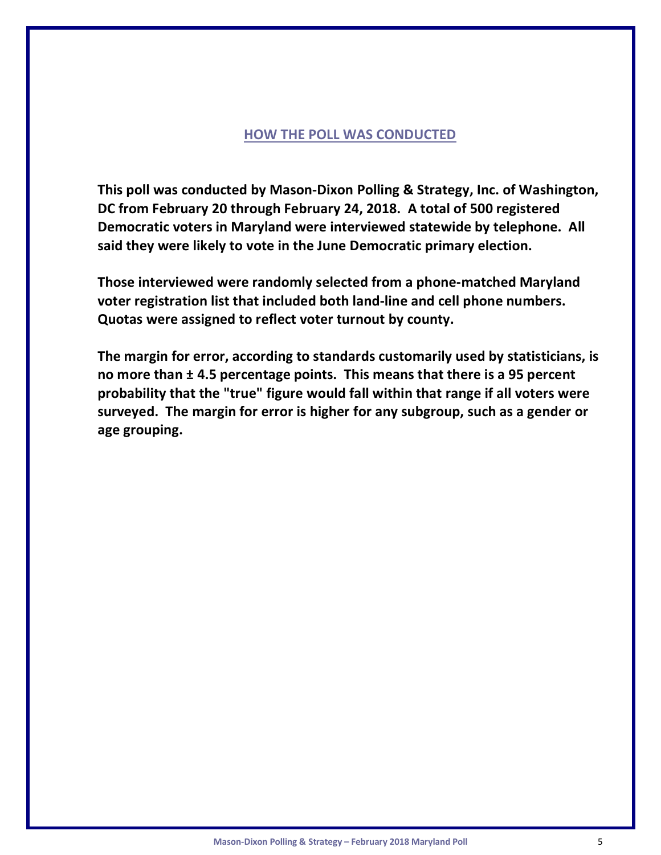#### **HOW THE POLL WAS CONDUCTED**

**This poll was conducted by Mason-Dixon Polling & Strategy, Inc. of Washington, DC from February 20 through February 24, 2018. A total of 500 registered Democratic voters in Maryland were interviewed statewide by telephone. All said they were likely to vote in the June Democratic primary election.**

**Those interviewed were randomly selected from a phone-matched Maryland voter registration list that included both land-line and cell phone numbers. Quotas were assigned to reflect voter turnout by county.**

**The margin for error, according to standards customarily used by statisticians, is no more than ± 4.5 percentage points. This means that there is a 95 percent probability that the "true" figure would fall within that range if all voters were surveyed. The margin for error is higher for any subgroup, such as a gender or age grouping.**